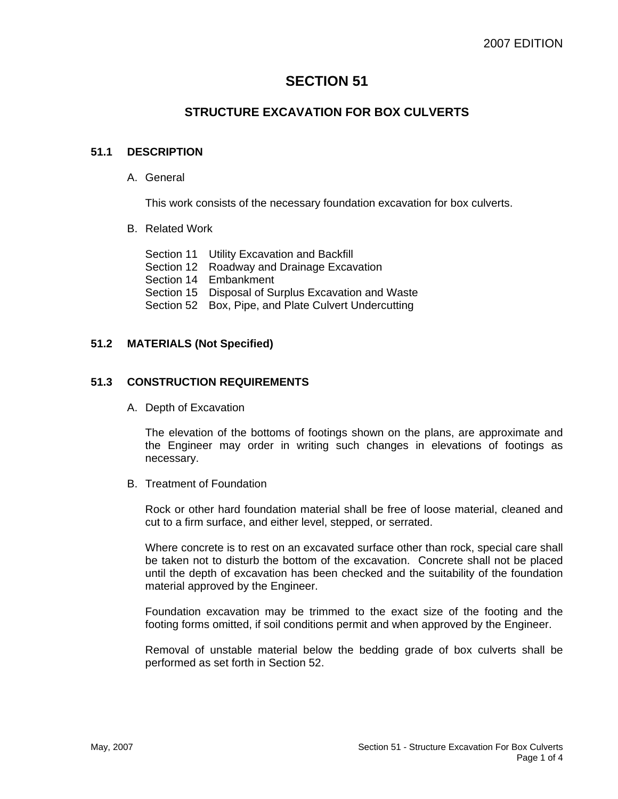# **SECTION 51**

## **STRUCTURE EXCAVATION FOR BOX CULVERTS**

### **51.1 DESCRIPTION**

A. General

This work consists of the necessary foundation excavation for box culverts.

- B. Related Work
	- Section 11 Utility Excavation and Backfill Section 12 Roadway and Drainage Excavation Section 14 Embankment Section 15 Disposal of Surplus Excavation and Waste Section 52 Box, Pipe, and Plate Culvert Undercutting

#### **51.2 MATERIALS (Not Specified)**

#### **51.3 CONSTRUCTION REQUIREMENTS**

A. Depth of Excavation

The elevation of the bottoms of footings shown on the plans, are approximate and the Engineer may order in writing such changes in elevations of footings as necessary.

B. Treatment of Foundation

Rock or other hard foundation material shall be free of loose material, cleaned and cut to a firm surface, and either level, stepped, or serrated.

Where concrete is to rest on an excavated surface other than rock, special care shall be taken not to disturb the bottom of the excavation. Concrete shall not be placed until the depth of excavation has been checked and the suitability of the foundation material approved by the Engineer.

Foundation excavation may be trimmed to the exact size of the footing and the footing forms omitted, if soil conditions permit and when approved by the Engineer.

Removal of unstable material below the bedding grade of box culverts shall be performed as set forth in Section 52.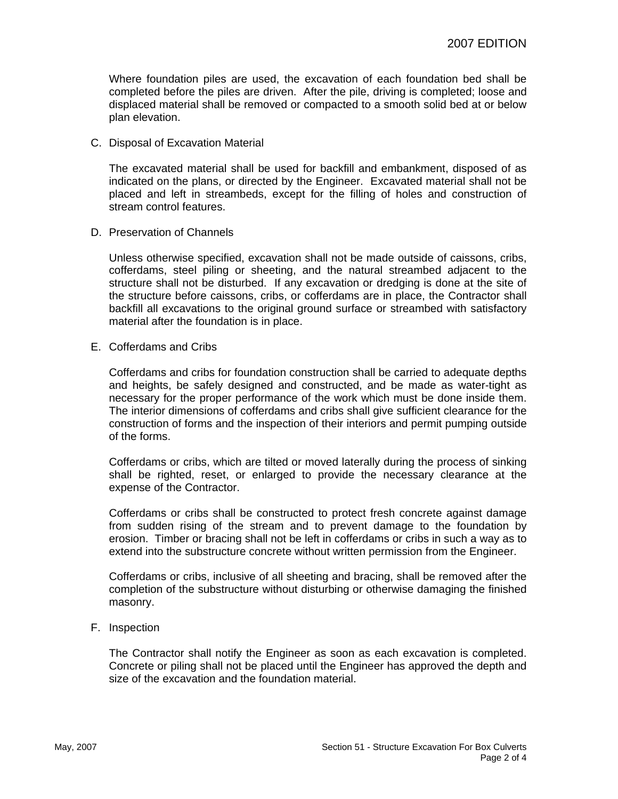Where foundation piles are used, the excavation of each foundation bed shall be completed before the piles are driven. After the pile, driving is completed; loose and displaced material shall be removed or compacted to a smooth solid bed at or below plan elevation.

C. Disposal of Excavation Material

The excavated material shall be used for backfill and embankment, disposed of as indicated on the plans, or directed by the Engineer. Excavated material shall not be placed and left in streambeds, except for the filling of holes and construction of stream control features.

D. Preservation of Channels

Unless otherwise specified, excavation shall not be made outside of caissons, cribs, cofferdams, steel piling or sheeting, and the natural streambed adjacent to the structure shall not be disturbed. If any excavation or dredging is done at the site of the structure before caissons, cribs, or cofferdams are in place, the Contractor shall backfill all excavations to the original ground surface or streambed with satisfactory material after the foundation is in place.

E. Cofferdams and Cribs

Cofferdams and cribs for foundation construction shall be carried to adequate depths and heights, be safely designed and constructed, and be made as water-tight as necessary for the proper performance of the work which must be done inside them. The interior dimensions of cofferdams and cribs shall give sufficient clearance for the construction of forms and the inspection of their interiors and permit pumping outside of the forms.

Cofferdams or cribs, which are tilted or moved laterally during the process of sinking shall be righted, reset, or enlarged to provide the necessary clearance at the expense of the Contractor.

Cofferdams or cribs shall be constructed to protect fresh concrete against damage from sudden rising of the stream and to prevent damage to the foundation by erosion. Timber or bracing shall not be left in cofferdams or cribs in such a way as to extend into the substructure concrete without written permission from the Engineer.

Cofferdams or cribs, inclusive of all sheeting and bracing, shall be removed after the completion of the substructure without disturbing or otherwise damaging the finished masonry.

F. Inspection

The Contractor shall notify the Engineer as soon as each excavation is completed. Concrete or piling shall not be placed until the Engineer has approved the depth and size of the excavation and the foundation material.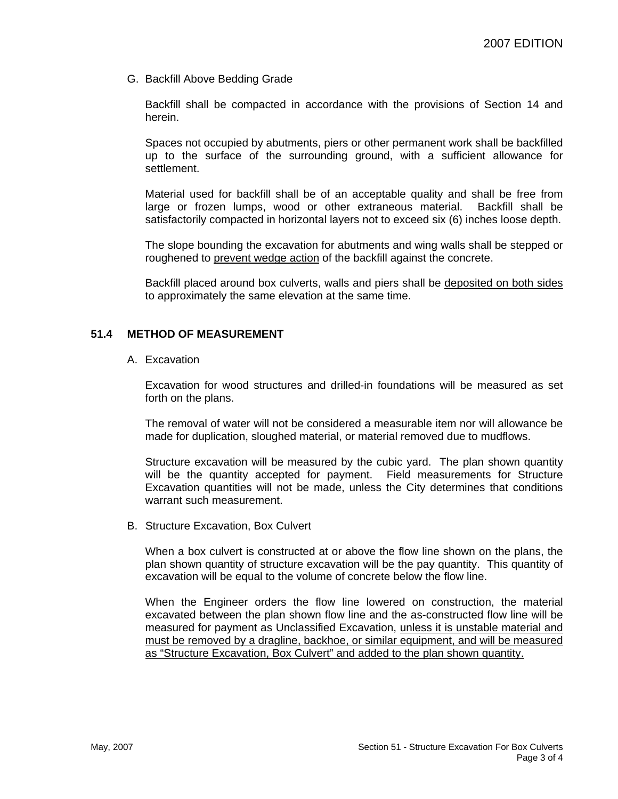G. Backfill Above Bedding Grade

Backfill shall be compacted in accordance with the provisions of Section 14 and herein.

Spaces not occupied by abutments, piers or other permanent work shall be backfilled up to the surface of the surrounding ground, with a sufficient allowance for settlement.

Material used for backfill shall be of an acceptable quality and shall be free from large or frozen lumps, wood or other extraneous material. Backfill shall be satisfactorily compacted in horizontal layers not to exceed six (6) inches loose depth.

The slope bounding the excavation for abutments and wing walls shall be stepped or roughened to prevent wedge action of the backfill against the concrete.

Backfill placed around box culverts, walls and piers shall be deposited on both sides to approximately the same elevation at the same time.

#### **51.4 METHOD OF MEASUREMENT**

A. Excavation

Excavation for wood structures and drilled-in foundations will be measured as set forth on the plans.

The removal of water will not be considered a measurable item nor will allowance be made for duplication, sloughed material, or material removed due to mudflows.

Structure excavation will be measured by the cubic yard. The plan shown quantity will be the quantity accepted for payment. Field measurements for Structure Excavation quantities will not be made, unless the City determines that conditions warrant such measurement.

B. Structure Excavation, Box Culvert

When a box culvert is constructed at or above the flow line shown on the plans, the plan shown quantity of structure excavation will be the pay quantity. This quantity of excavation will be equal to the volume of concrete below the flow line.

When the Engineer orders the flow line lowered on construction, the material excavated between the plan shown flow line and the as-constructed flow line will be measured for payment as Unclassified Excavation, unless it is unstable material and must be removed by a dragline, backhoe, or similar equipment, and will be measured as "Structure Excavation, Box Culvert" and added to the plan shown quantity.